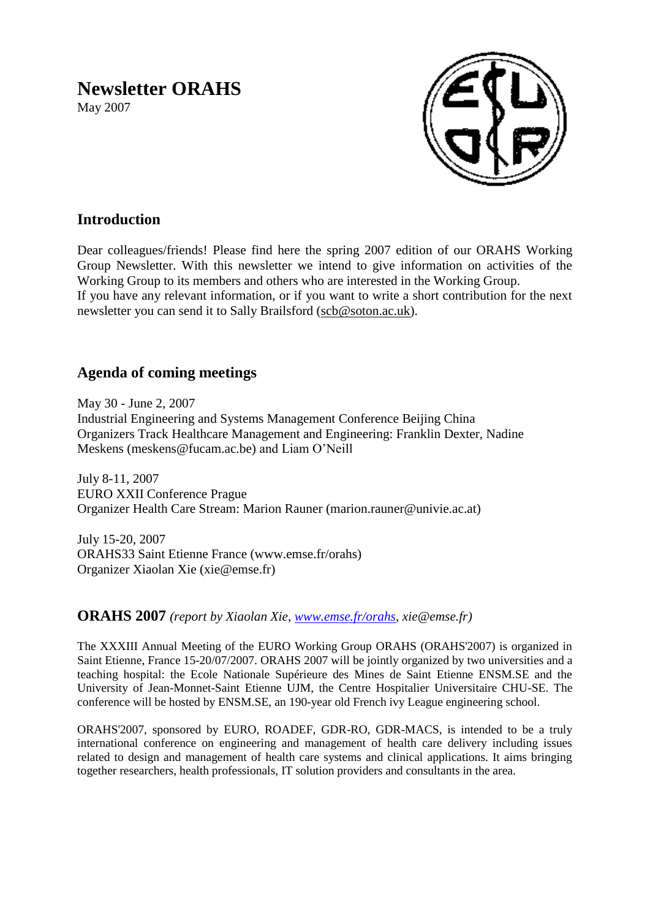# **Newsletter ORAHS**

May 2007



# **Introduction**

Dear colleagues/friends! Please find here the spring 2007 edition of our ORAHS Working Group Newsletter. With this newsletter we intend to give information on activities of the Working Group to its members and others who are interested in the Working Group. If you have any relevant information, or if you want to write a short contribution for the next newsletter you can send it to Sally Brailsford [\(scb@soton.ac.uk\)](mailto:scb@soton.ac.uk).

# **Agenda of coming meetings**

May 30 - June 2, 2007 Industrial Engineering and Systems Management Conference Beijing China Organizers Track Healthcare Management and Engineering: Franklin Dexter, Nadine Meskens (meskens@fucam.ac.be) and Liam O'Neill

July 8-11, 2007 EURO XXII Conference Prague Organizer Health Care Stream: Marion Rauner (marion.rauner@univie.ac.at)

July 15-20, 2007 ORAHS33 Saint Etienne France (www.emse.fr/orahs) Organizer Xiaolan Xie (xie@emse.fr)

**ORAHS 2007** *(report by Xiaolan Xie, [www.emse.fr/orahs,](http://www.emse.fr/orahs) xie@emse.fr)*

The XXXIII Annual Meeting of the EURO Working Group ORAHS (ORAHS'2007) is organized in Saint Etienne, France 15-20/07/2007. ORAHS 2007 will be jointly organized by two universities and a teaching hospital: the Ecole Nationale Supérieure des Mines de Saint Etienne ENSM.SE and the University of Jean-Monnet-Saint Etienne UJM, the Centre Hospitalier Universitaire CHU-SE. The conference will be hosted by ENSM.SE, an 190-year old French ivy League engineering school.

ORAHS'2007, sponsored by EURO, ROADEF, GDR-RO, GDR-MACS, is intended to be a truly international conference on engineering and management of health care delivery including issues related to design and management of health care systems and clinical applications. It aims bringing together researchers, health professionals, IT solution providers and consultants in the area.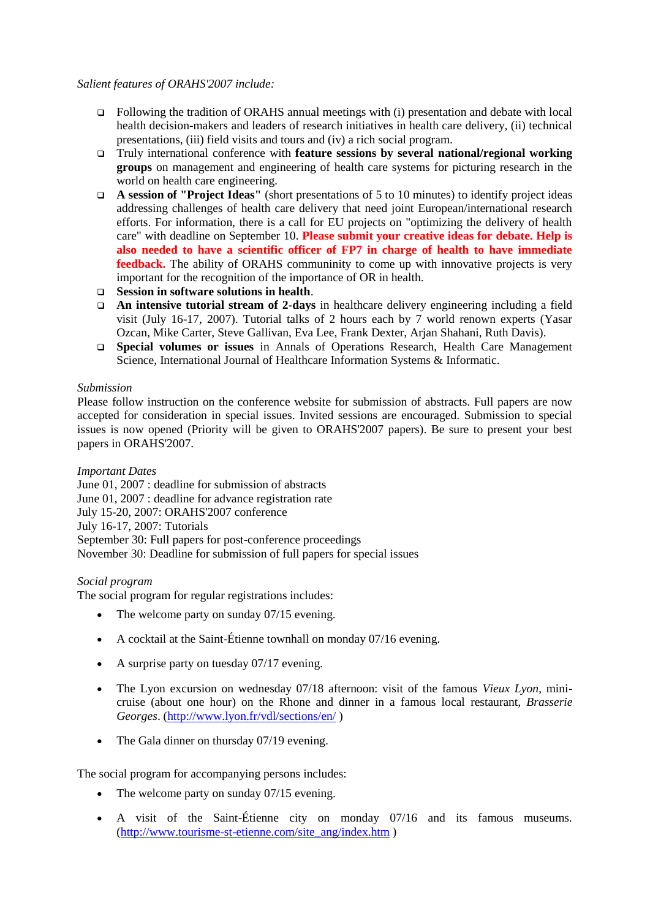#### *Salient features of ORAHS'2007 include:*

- □ Following the tradition of ORAHS annual meetings with (i) presentation and debate with local health decision-makers and leaders of research initiatives in health care delivery, (ii) technical presentations, (iii) field visits and tours and (iv) a rich social program.
- Truly international conference with **feature sessions by several national/regional working groups** on management and engineering of health care systems for picturing research in the world on health care engineering.
- **A session of "Project Ideas"** (short presentations of 5 to 10 minutes) to identify project ideas addressing challenges of health care delivery that need joint European/international research efforts. For information, there is a call for EU projects on "optimizing the delivery of health care" with deadline on September 10. **Please submit your creative ideas for debate. Help is also needed to have a scientific officer of FP7 in charge of health to have immediate feedback.** The ability of ORAHS communinity to come up with innovative projects is very important for the recognition of the importance of OR in health.
- **Session in software solutions in health**.
- **An intensive tutorial stream of 2-days** in healthcare delivery engineering including a field visit (July 16-17, 2007). Tutorial talks of 2 hours each by 7 world renown experts (Yasar Ozcan, Mike Carter, Steve Gallivan, Eva Lee, Frank Dexter, Arjan Shahani, Ruth Davis).
- **Special volumes or issues** in Annals of Operations Research, Health Care Management Science, International Journal of Healthcare Information Systems & Informatic.

#### *Submission*

Please follow instruction on the conference website for submission of abstracts. Full papers are now accepted for consideration in special issues. Invited sessions are encouraged. Submission to special issues is now opened (Priority will be given to ORAHS'2007 papers). Be sure to present your best papers in ORAHS'2007.

*Important Dates* June 01, 2007 : deadline for submission of abstracts June 01, 2007 : deadline for advance registration rate July 15-20, 2007: ORAHS'2007 conference July 16-17, 2007: Tutorials

September 30: Full papers for post-conference proceedings November 30: Deadline for submission of full papers for special issues

#### *Social program*

The social program for regular registrations includes:

- The welcome party on sunday 07/15 evening.
- A cocktail at the Saint-Étienne townhall on monday 07/16 evening.
- A surprise party on tuesday 07/17 evening.
- The Lyon excursion on wednesday 07/18 afternoon: visit of the famous *Vieux Lyon*, minicruise (about one hour) on the Rhone and dinner in a famous local restaurant, *Brasserie Georges*. [\(http://www.lyon.fr/vdl/sections/en/](http://www.lyon.fr/vdl/sections/en/) )
- The Gala dinner on thursday 07/19 evening.

The social program for accompanying persons includes:

- The welcome party on sunday 07/15 evening.
- A visit of the Saint-Étienne city on monday 07/16 and its famous museums. [\(http://www.tourisme-st-etienne.com/site\\_ang/index.htm](http://www.tourisme-st-etienne.com/site_ang/index.htm) )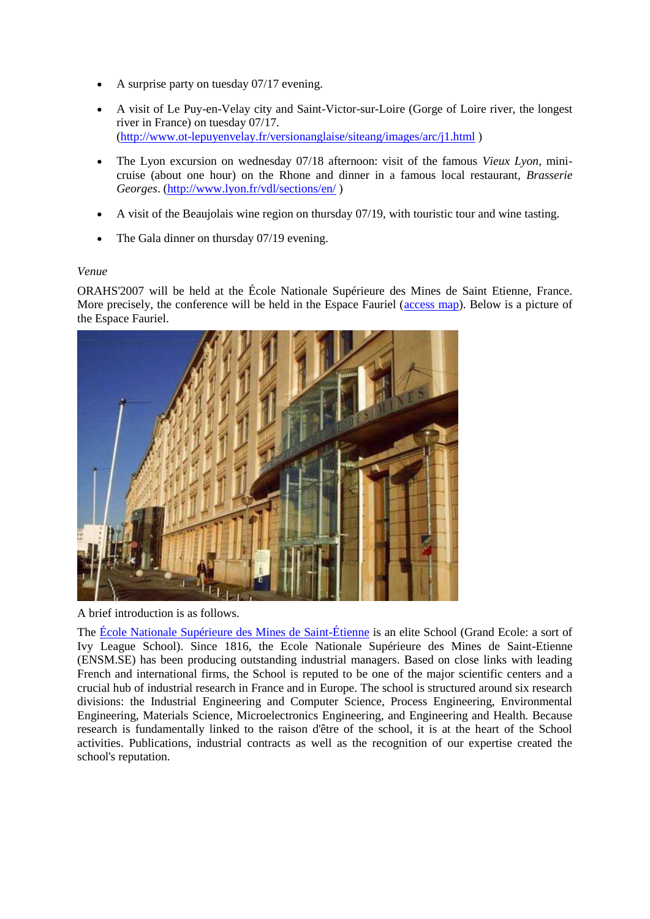- A surprise party on tuesday 07/17 evening.
- A visit of Le Puy-en-Velay city and Saint-Victor-sur-Loire (Gorge of Loire river, the longest river in France) on tuesday 07/17. [\(http://www.ot-lepuyenvelay.fr/versionanglaise/siteang/images/arc/j1.html](http://www.ot-lepuyenvelay.fr/versionanglaise/siteang/images/arc/j1.html) )
- The Lyon excursion on wednesday 07/18 afternoon: visit of the famous *Vieux Lyon*, minicruise (about one hour) on the Rhone and dinner in a famous local restaurant, *Brasserie Georges*. [\(http://www.lyon.fr/vdl/sections/en/](http://www.lyon.fr/vdl/sections/en/) )
- A visit of the Beaujolais wine region on thursday 07/19, with touristic tour and wine tasting.
- The Gala dinner on thursday 07/19 evening.

#### *Venue*

ORAHS'2007 will be held at the École Nationale Supérieure des Mines de Saint Etienne, France. More precisely, the conference will be held in the Espace Fauriel [\(access map\)](http://www.emse.fr/en/tool/acces.html). Below is a picture of the Espace Fauriel.



A brief introduction is as follows.

The [École Nationale Supérieure des Mines de Saint-Étienne](http://www.emse.fr/) is an elite School (Grand Ecole: a sort of Ivy League School). Since 1816, the Ecole Nationale Supérieure des Mines de Saint-Etienne (ENSM.SE) has been producing outstanding industrial managers. Based on close links with leading French and international firms, the School is reputed to be one of the major scientific centers and a crucial hub of industrial research in France and in Europe. The school is structured around six research divisions: the Industrial Engineering and Computer Science, Process Engineering, Environmental Engineering, Materials Science, Microelectronics Engineering, and Engineering and Health. Because research is fundamentally linked to the raison d'être of the school, it is at the heart of the School activities. Publications, industrial contracts as well as the recognition of our expertise created the school's reputation.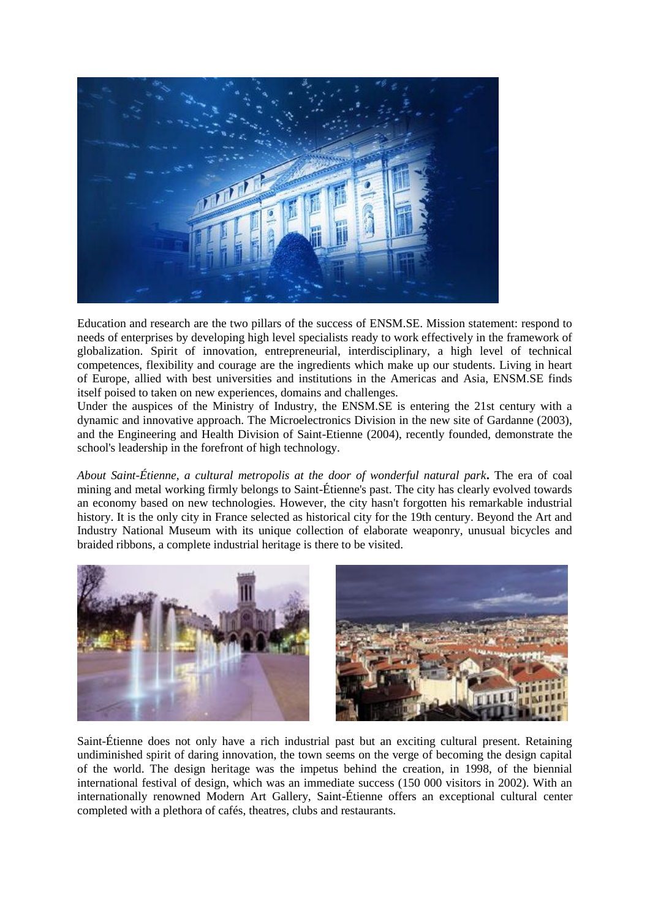

Education and research are the two pillars of the success of ENSM.SE. Mission statement: respond to needs of enterprises by developing high level specialists ready to work effectively in the framework of globalization. Spirit of innovation, entrepreneurial, interdisciplinary, a high level of technical competences, flexibility and courage are the ingredients which make up our students. Living in heart of Europe, allied with best universities and institutions in the Americas and Asia, ENSM.SE finds itself poised to taken on new experiences, domains and challenges.

Under the auspices of the Ministry of Industry, the ENSM.SE is entering the 21st century with a dynamic and innovative approach. The Microelectronics Division in the new site of Gardanne (2003), and the Engineering and Health Division of Saint-Etienne (2004), recently founded, demonstrate the school's leadership in the forefront of high technology.

*About Saint-Étienne, a cultural metropolis at the door of wonderful natural park***.** The era of coal mining and metal working firmly belongs to Saint-Étienne's past. The city has clearly evolved towards an economy based on new technologies. However, the city hasn't forgotten his remarkable industrial history. It is the only city in France selected as historical city for the 19th century. Beyond the Art and Industry National Museum with its unique collection of elaborate weaponry, unusual bicycles and braided ribbons, a complete industrial heritage is there to be visited.



Saint-Étienne does not only have a rich industrial past but an exciting cultural present. Retaining undiminished spirit of daring innovation, the town seems on the verge of becoming the design capital of the world. The design heritage was the impetus behind the creation, in 1998, of the biennial international festival of design, which was an immediate success (150 000 visitors in 2002). With an internationally renowned Modern Art Gallery, Saint-Étienne offers an exceptional cultural center completed with a plethora of cafés, theatres, clubs and restaurants.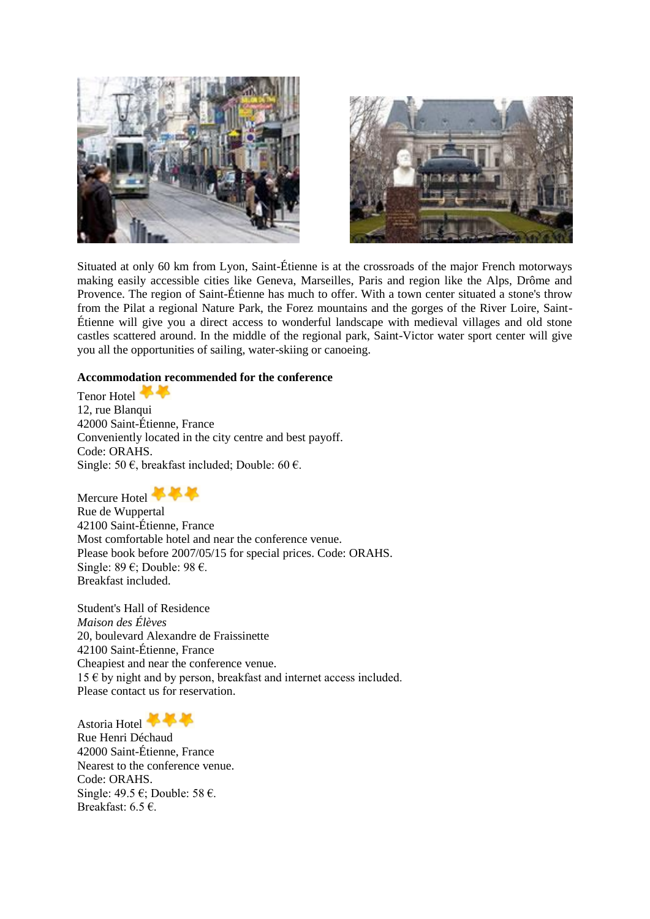



Situated at only 60 km from Lyon, Saint-Étienne is at the crossroads of the major French motorways making easily accessible cities like Geneva, Marseilles, Paris and region like the Alps, Drôme and Provence. The region of Saint-Étienne has much to offer. With a town center situated a stone's throw from the Pilat a regional Nature Park, the Forez mountains and the gorges of the River Loire, Saint-Étienne will give you a direct access to wonderful landscape with medieval villages and old stone castles scattered around. In the middle of the regional park, Saint-Victor water sport center will give you all the opportunities of sailing, water-skiing or canoeing.

#### **Accommodation recommended for the conference**

Tenor Hotel 12, rue Blanqui 42000 Saint-Étienne, France Conveniently located in the city centre and best payoff. Code: ORAHS. Single: 50  $\epsilon$ , breakfast included; Double: 60  $\epsilon$ .

Mercure Hotel

Rue de Wuppertal 42100 Saint-Étienne, France Most comfortable hotel and near the conference venue. Please book before 2007/05/15 for special prices. Code: ORAHS. Single: 89 €; Double: 98 €. Breakfast included.

Student's Hall of Residence *Maison des Élèves* 20, boulevard Alexandre de Fraissinette 42100 Saint-Étienne, France Cheapiest and near the conference venue.  $15 \in$  by night and by person, breakfast and internet access included. Please contact us for reservation.

Astoria Hotel

Rue Henri Déchaud 42000 Saint-Étienne, France Nearest to the conference venue. Code: ORAHS. Single: 49.5 €; Double: 58 €. Breakfast:  $6.5 \in$ .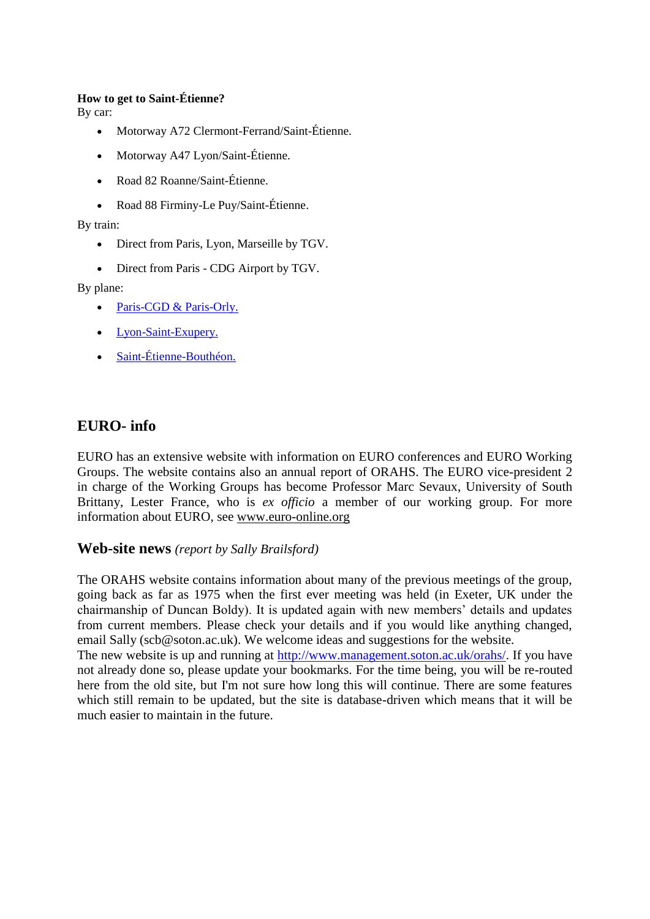#### **How to get to Saint-Étienne?**

By car:

- Motorway A72 Clermont-Ferrand/Saint-Étienne.
- Motorway A47 Lyon/Saint-Étienne.
- Road 82 Roanne/Saint-Étienne.
- Road 88 Firminy-Le Puy/Saint-Étienne.

By train:

- Direct from Paris, Lyon, Marseille by TGV.
- Direct from Paris CDG Airport by TGV.

By plane:

- [Paris-CGD & Paris-Orly.](http://www.aeroportsdeparis.fr/ADP/en-GB/Passagers/)
- [Lyon-Saint-Exupery.](http://www.lyonairport.com/)
- [Saint-Étienne-Bouthéon.](http://www.saint-etienne.aeroport.fr/site_st_etienne_anglais/index.htm)

## **EURO- info**

EURO has an extensive website with information on EURO conferences and EURO Working Groups. The website contains also an annual report of ORAHS. The EURO vice-president 2 in charge of the Working Groups has become Professor Marc Sevaux, University of South Brittany, Lester France, who is *ex officio* a member of our working group. For more information about EURO, see [www.euro-online.org](http://www.euro-online.org/) 

## **Web-site news** *(report by Sally Brailsford)*

The ORAHS website contains information about many of the previous meetings of the group, going back as far as 1975 when the first ever meeting was held (in Exeter, UK under the chairmanship of Duncan Boldy). It is updated again with new members' details and updates from current members. Please check your details and if you would like anything changed, email Sally (scb@soton.ac.uk). We welcome ideas and suggestions for the website.

The new website is up and running at [http://www.management.soton.ac.uk/orahs/.](http://www.management.soton.ac.uk/orahs/) If you have not already done so, please update your bookmarks. For the time being, you will be re-routed here from the old site, but I'm not sure how long this will continue. There are some features which still remain to be updated, but the site is database-driven which means that it will be much easier to maintain in the future.